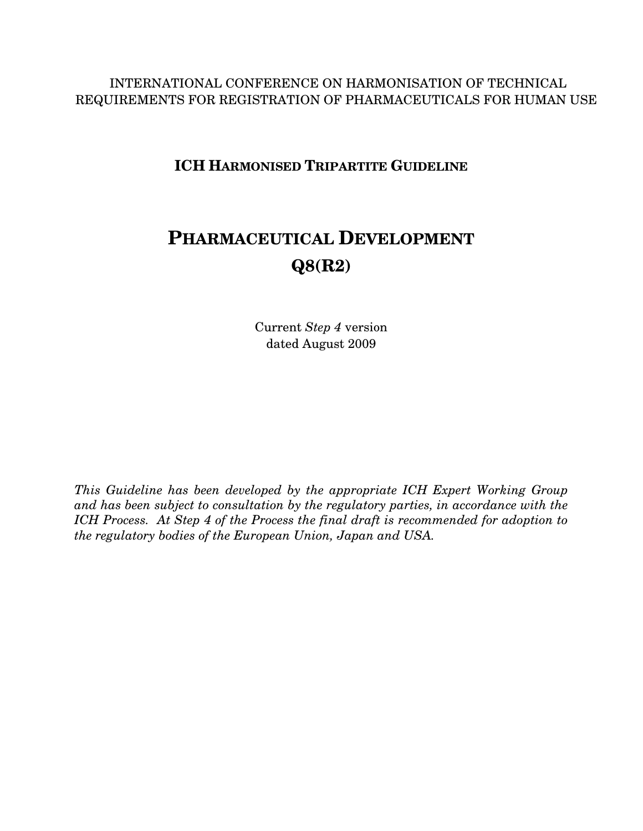### INTERNATIONAL CONFERENCE ON HARMONISATION OF TECHNICAL REQUIREMENTS FOR REGISTRATION OF PHARMACEUTICALS FOR HUMAN USE

## **ICH HARMONISED TRIPARTITE GUIDELINE**

# **PHARMACEUTICAL DEVELOPMENT Q8(R2)**

Current *Step 4* version dated August 2009

*This Guideline has been developed by the appropriate ICH Expert Working Group and has been subject to consultation by the regulatory parties, in accordance with the ICH Process. At Step 4 of the Process the final draft is recommended for adoption to the regulatory bodies of the European Union, Japan and USA.*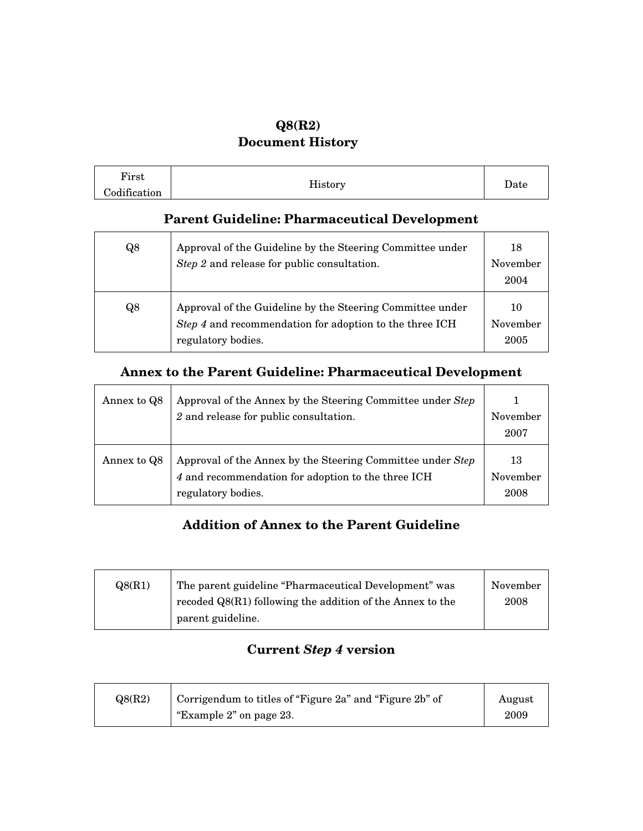## **Q8(R2) Document History**

| First        |         | Date |
|--------------|---------|------|
| Codification | History |      |

## **Parent Guideline: Pharmaceutical Development**

| Q8 | Approval of the Guideline by the Steering Committee under<br>Step 2 and release for public consultation.                                   | 18<br>November<br>2004 |
|----|--------------------------------------------------------------------------------------------------------------------------------------------|------------------------|
| Q8 | Approval of the Guideline by the Steering Committee under<br>Step 4 and recommendation for adoption to the three ICH<br>regulatory bodies. | 10<br>November<br>2005 |

## **Annex to the Parent Guideline: Pharmaceutical Development**

| Annex to Q8 | Approval of the Annex by the Steering Committee under Step<br>2 and release for public consultation.                                   | November<br>2007       |
|-------------|----------------------------------------------------------------------------------------------------------------------------------------|------------------------|
| Annex to Q8 | Approval of the Annex by the Steering Committee under Step<br>4 and recommendation for adoption to the three ICH<br>regulatory bodies. | 13<br>November<br>2008 |

## **Addition of Annex to the Parent Guideline**

| Q8(R1) | The parent guideline "Pharmaceutical Development" was       | November |
|--------|-------------------------------------------------------------|----------|
|        | recoded $Q8(R1)$ following the addition of the Annex to the | 2008     |
|        | parent guideline.                                           |          |

## **Current** *Step 4* **version**

| Q8(R2) | Corrigendum to titles of "Figure 2a" and "Figure 2b" of | August |
|--------|---------------------------------------------------------|--------|
|        | "Example 2" on page 23.                                 | 2009   |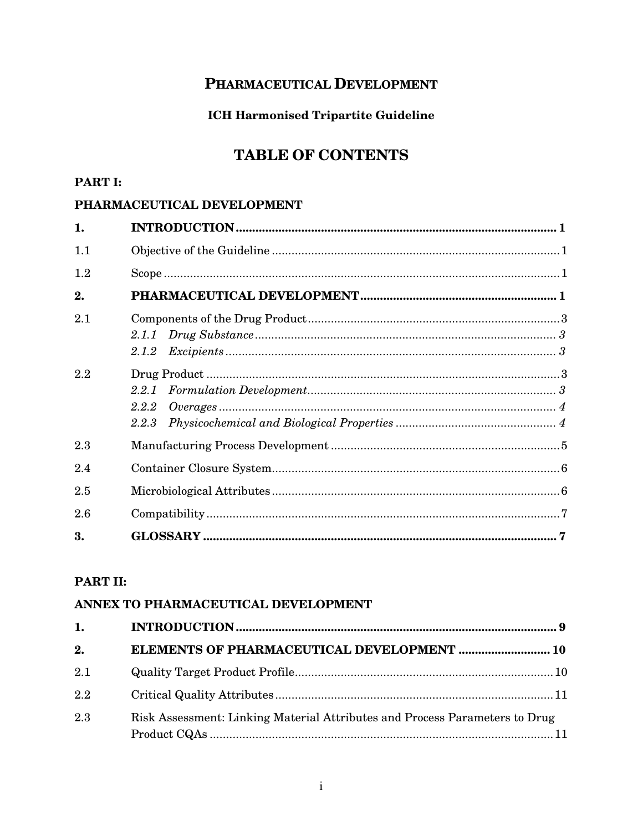## PHARMACEUTICAL DEVELOPMENT

### **ICH Harmonised Tripartite Guideline**

## **TABLE OF CONTENTS**

### **PART I:**

## PHARMACEUTICAL DEVELOPMENT

| 1.  |                |  |
|-----|----------------|--|
| 1.1 |                |  |
| 1.2 |                |  |
| 2.  |                |  |
| 2.1 | 2.1.1<br>2.1.2 |  |
| 2.2 | 2.2.2<br>2.2.3 |  |
| 2.3 |                |  |
| 2.4 |                |  |
| 2.5 |                |  |
| 2.6 |                |  |
| 3.  |                |  |

### **PART II:**

### ANNEX TO PHARMACEUTICAL DEVELOPMENT

| 1.  |                                                                             |
|-----|-----------------------------------------------------------------------------|
| 2.  | <b>ELEMENTS OF PHARMACEUTICAL DEVELOPMENT  10</b>                           |
| 2.1 |                                                                             |
| 2.2 |                                                                             |
| 2.3 | Risk Assessment: Linking Material Attributes and Process Parameters to Drug |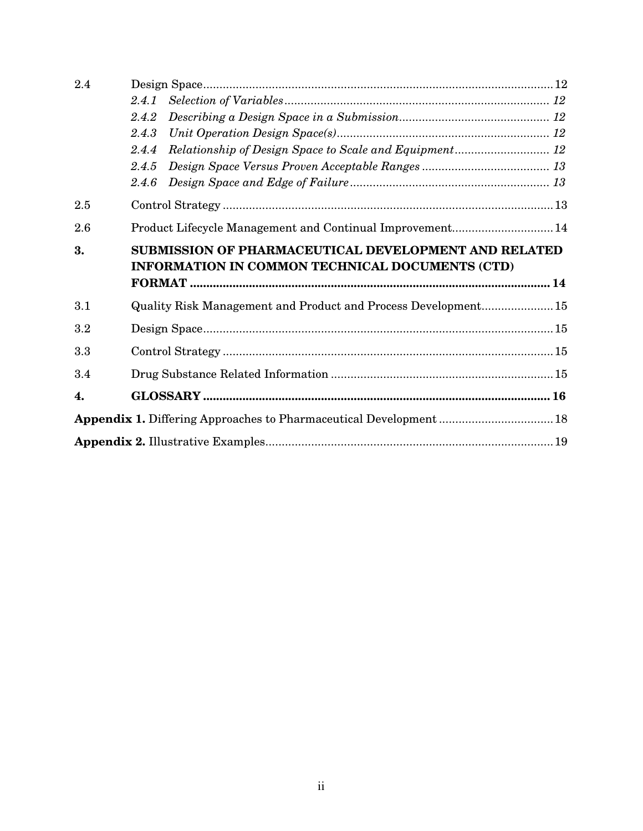|     | 2.4.1                                                                                                          |  |  |
|-----|----------------------------------------------------------------------------------------------------------------|--|--|
|     | 2.4.2                                                                                                          |  |  |
|     | 2.4.3                                                                                                          |  |  |
|     | 2.4.4                                                                                                          |  |  |
|     | 2.4.5                                                                                                          |  |  |
|     | 2.4.6                                                                                                          |  |  |
| 2.5 |                                                                                                                |  |  |
| 2.6 | Product Lifecycle Management and Continual Improvement 14                                                      |  |  |
| 3.  | <b>SUBMISSION OF PHARMACEUTICAL DEVELOPMENT AND RELATED</b><br>INFORMATION IN COMMON TECHNICAL DOCUMENTS (CTD) |  |  |
|     |                                                                                                                |  |  |
| 3.1 | Quality Risk Management and Product and Process Development 15                                                 |  |  |
| 3.2 |                                                                                                                |  |  |
| 3.3 |                                                                                                                |  |  |
| 3.4 |                                                                                                                |  |  |
| 4.  |                                                                                                                |  |  |
|     | Appendix 1. Differing Approaches to Pharmaceutical Development 18                                              |  |  |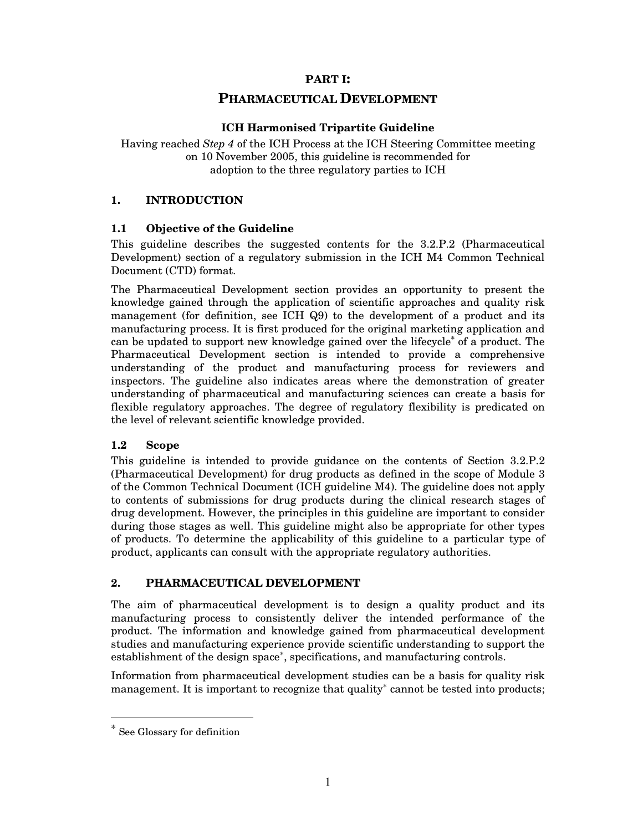#### **PART I:**

#### **PHARMACEUTICAL DEVELOPMENT**

#### **ICH Harmonised Tripartite Guideline**

Having reached *Step 4* of the ICH Process at the ICH Steering Committee meeting on 10 November 2005, this guideline is recommended for adoption to the three regulatory parties to ICH

#### **1. INTRODUCTION**

#### **1.1 Objective of the Guideline**

This guideline describes the suggested contents for the 3.2.P.2 (Pharmaceutical Development) section of a regulatory submission in the ICH M4 Common Technical Document (CTD) format.

The Pharmaceutical Development section provides an opportunity to present the knowledge gained through the application of scientific approaches and quality risk management (for definition, see ICH Q9) to the development of a product and its manufacturing process. It is first produced for the original marketing application and can be updated to support new knowledge gained over the lifecycle**\*** of a product. The Pharmaceutical Development section is intended to provide a comprehensive understanding of the product and manufacturing process for reviewers and inspectors. The guideline also indicates areas where the demonstration of greater understanding of pharmaceutical and manufacturing sciences can create a basis for flexible regulatory approaches. The degree of regulatory flexibility is predicated on the level of relevant scientific knowledge provided.

#### **1.2 Scope**

This guideline is intended to provide guidance on the contents of Section 3.2.P.2 (Pharmaceutical Development) for drug products as defined in the scope of Module 3 of the Common Technical Document (ICH guideline M4). The guideline does not apply to contents of submissions for drug products during the clinical research stages of drug development. However, the principles in this guideline are important to consider during those stages as well. This guideline might also be appropriate for other types of products. To determine the applicability of this guideline to a particular type of product, applicants can consult with the appropriate regulatory authorities.

#### **2. PHARMACEUTICAL DEVELOPMENT**

The aim of pharmaceutical development is to design a quality product and its manufacturing process to consistently deliver the intended performance of the product. The information and knowledge gained from pharmaceutical development studies and manufacturing experience provide scientific understanding to support the establishment of the design space**\***, specifications, and manufacturing controls.

Information from pharmaceutical development studies can be a basis for quality risk management. It is important to recognize that quality**\*** cannot be tested into products;

 $\overline{a}$ 

<sup>\*</sup> See Glossary for definition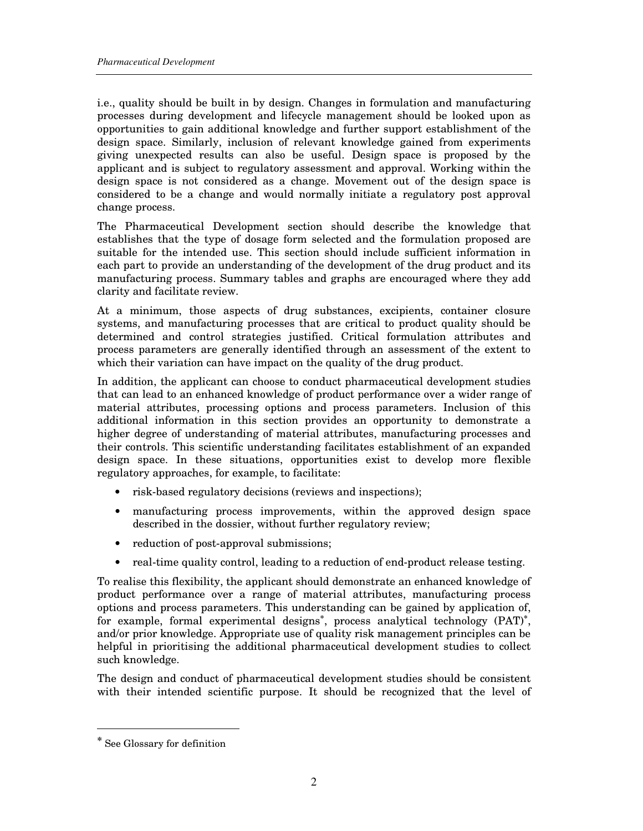i.e., quality should be built in by design. Changes in formulation and manufacturing processes during development and lifecycle management should be looked upon as opportunities to gain additional knowledge and further support establishment of the design space. Similarly, inclusion of relevant knowledge gained from experiments giving unexpected results can also be useful. Design space is proposed by the applicant and is subject to regulatory assessment and approval. Working within the design space is not considered as a change. Movement out of the design space is considered to be a change and would normally initiate a regulatory post approval change process.

The Pharmaceutical Development section should describe the knowledge that establishes that the type of dosage form selected and the formulation proposed are suitable for the intended use. This section should include sufficient information in each part to provide an understanding of the development of the drug product and its manufacturing process. Summary tables and graphs are encouraged where they add clarity and facilitate review.

At a minimum, those aspects of drug substances, excipients, container closure systems, and manufacturing processes that are critical to product quality should be determined and control strategies justified. Critical formulation attributes and process parameters are generally identified through an assessment of the extent to which their variation can have impact on the quality of the drug product.

In addition, the applicant can choose to conduct pharmaceutical development studies that can lead to an enhanced knowledge of product performance over a wider range of material attributes, processing options and process parameters. Inclusion of this additional information in this section provides an opportunity to demonstrate a higher degree of understanding of material attributes, manufacturing processes and their controls. This scientific understanding facilitates establishment of an expanded design space. In these situations, opportunities exist to develop more flexible regulatory approaches, for example, to facilitate:

- risk-based regulatory decisions (reviews and inspections);
- manufacturing process improvements, within the approved design space described in the dossier, without further regulatory review;
- reduction of post-approval submissions;
- real-time quality control, leading to a reduction of end-product release testing.

To realise this flexibility, the applicant should demonstrate an enhanced knowledge of product performance over a range of material attributes, manufacturing process options and process parameters. This understanding can be gained by application of, for example, formal experimental designs**\*** , process analytical technology (PAT)**\*** , and/or prior knowledge. Appropriate use of quality risk management principles can be helpful in prioritising the additional pharmaceutical development studies to collect such knowledge.

The design and conduct of pharmaceutical development studies should be consistent with their intended scientific purpose. It should be recognized that the level of

 $\overline{a}$ 

**<sup>\*</sup>** See Glossary for definition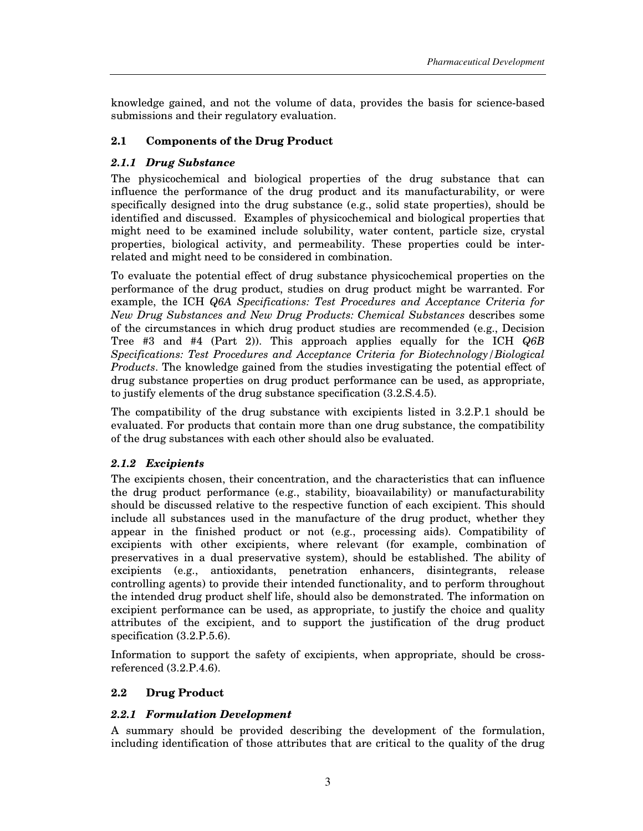knowledge gained, and not the volume of data, provides the basis for science-based submissions and their regulatory evaluation.

#### **2.1 Components of the Drug Product**

#### *2.1.1 Drug Substance*

The physicochemical and biological properties of the drug substance that can influence the performance of the drug product and its manufacturability, or were specifically designed into the drug substance (e.g., solid state properties), should be identified and discussed. Examples of physicochemical and biological properties that might need to be examined include solubility, water content, particle size, crystal properties, biological activity, and permeability. These properties could be interrelated and might need to be considered in combination.

To evaluate the potential effect of drug substance physicochemical properties on the performance of the drug product, studies on drug product might be warranted. For example, the ICH *Q6A Specifications: Test Procedures and Acceptance Criteria for New Drug Substances and New Drug Products: Chemical Substances* describes some of the circumstances in which drug product studies are recommended (e.g., Decision Tree #3 and #4 (Part 2)). This approach applies equally for the ICH *Q6B Specifications: Test Procedures and Acceptance Criteria for Biotechnology/Biological Products*. The knowledge gained from the studies investigating the potential effect of drug substance properties on drug product performance can be used, as appropriate, to justify elements of the drug substance specification (3.2.S.4.5).

The compatibility of the drug substance with excipients listed in 3.2.P.1 should be evaluated. For products that contain more than one drug substance, the compatibility of the drug substances with each other should also be evaluated.

#### *2.1.2 Excipients*

The excipients chosen, their concentration, and the characteristics that can influence the drug product performance (e.g., stability, bioavailability) or manufacturability should be discussed relative to the respective function of each excipient. This should include all substances used in the manufacture of the drug product, whether they appear in the finished product or not (e.g., processing aids). Compatibility of excipients with other excipients, where relevant (for example, combination of preservatives in a dual preservative system), should be established. The ability of excipients (e.g., antioxidants, penetration enhancers, disintegrants, release controlling agents) to provide their intended functionality, and to perform throughout the intended drug product shelf life, should also be demonstrated. The information on excipient performance can be used, as appropriate, to justify the choice and quality attributes of the excipient, and to support the justification of the drug product specification (3.2.P.5.6).

Information to support the safety of excipients, when appropriate, should be crossreferenced (3.2.P.4.6).

#### **2.2 Drug Product**

#### *2.2.1 Formulation Development*

A summary should be provided describing the development of the formulation, including identification of those attributes that are critical to the quality of the drug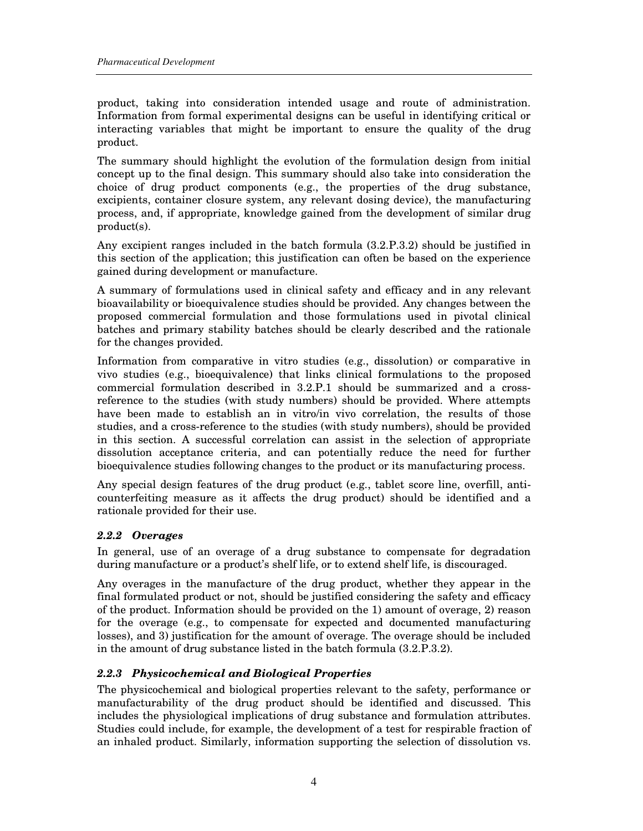product, taking into consideration intended usage and route of administration. Information from formal experimental designs can be useful in identifying critical or interacting variables that might be important to ensure the quality of the drug product.

The summary should highlight the evolution of the formulation design from initial concept up to the final design. This summary should also take into consideration the choice of drug product components (e.g., the properties of the drug substance, excipients, container closure system, any relevant dosing device), the manufacturing process, and, if appropriate, knowledge gained from the development of similar drug product(s).

Any excipient ranges included in the batch formula (3.2.P.3.2) should be justified in this section of the application; this justification can often be based on the experience gained during development or manufacture.

A summary of formulations used in clinical safety and efficacy and in any relevant bioavailability or bioequivalence studies should be provided. Any changes between the proposed commercial formulation and those formulations used in pivotal clinical batches and primary stability batches should be clearly described and the rationale for the changes provided.

Information from comparative in vitro studies (e.g., dissolution) or comparative in vivo studies (e.g., bioequivalence) that links clinical formulations to the proposed commercial formulation described in 3.2.P.1 should be summarized and a crossreference to the studies (with study numbers) should be provided. Where attempts have been made to establish an in vitro/in vivo correlation, the results of those studies, and a cross-reference to the studies (with study numbers), should be provided in this section. A successful correlation can assist in the selection of appropriate dissolution acceptance criteria, and can potentially reduce the need for further bioequivalence studies following changes to the product or its manufacturing process.

Any special design features of the drug product (e.g., tablet score line, overfill, anticounterfeiting measure as it affects the drug product) should be identified and a rationale provided for their use.

#### *2.2.2 Overages*

In general, use of an overage of a drug substance to compensate for degradation during manufacture or a product's shelf life, or to extend shelf life, is discouraged.

Any overages in the manufacture of the drug product, whether they appear in the final formulated product or not, should be justified considering the safety and efficacy of the product. Information should be provided on the 1) amount of overage, 2) reason for the overage (e.g., to compensate for expected and documented manufacturing losses), and 3) justification for the amount of overage. The overage should be included in the amount of drug substance listed in the batch formula (3.2.P.3.2).

#### *2.2.3 Physicochemical and Biological Properties*

The physicochemical and biological properties relevant to the safety, performance or manufacturability of the drug product should be identified and discussed. This includes the physiological implications of drug substance and formulation attributes. Studies could include, for example, the development of a test for respirable fraction of an inhaled product. Similarly, information supporting the selection of dissolution vs.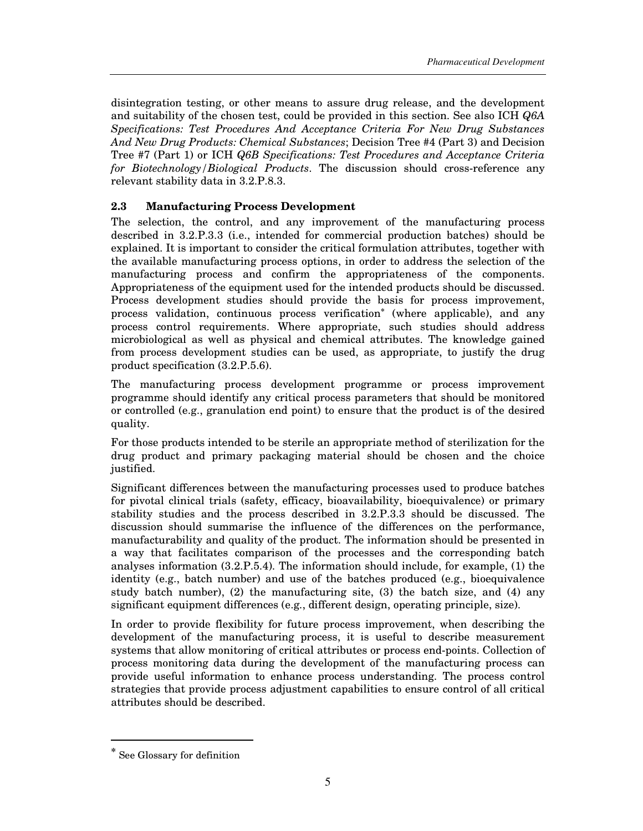disintegration testing, or other means to assure drug release, and the development and suitability of the chosen test, could be provided in this section. See also ICH *Q6A Specifications: Test Procedures And Acceptance Criteria For New Drug Substances And New Drug Products: Chemical Substances*; Decision Tree #4 (Part 3) and Decision Tree #7 (Part 1) or ICH *Q6B Specifications: Test Procedures and Acceptance Criteria for Biotechnology/Biological Products*. The discussion should cross-reference any relevant stability data in 3.2.P.8.3.

#### **2.3 Manufacturing Process Development**

The selection, the control, and any improvement of the manufacturing process described in 3.2.P.3.3 (i.e., intended for commercial production batches) should be explained. It is important to consider the critical formulation attributes, together with the available manufacturing process options, in order to address the selection of the manufacturing process and confirm the appropriateness of the components. Appropriateness of the equipment used for the intended products should be discussed. Process development studies should provide the basis for process improvement, process validation, continuous process verification**\*** (where applicable), and any process control requirements. Where appropriate, such studies should address microbiological as well as physical and chemical attributes. The knowledge gained from process development studies can be used, as appropriate, to justify the drug product specification (3.2.P.5.6).

The manufacturing process development programme or process improvement programme should identify any critical process parameters that should be monitored or controlled (e.g., granulation end point) to ensure that the product is of the desired quality.

For those products intended to be sterile an appropriate method of sterilization for the drug product and primary packaging material should be chosen and the choice justified.

Significant differences between the manufacturing processes used to produce batches for pivotal clinical trials (safety, efficacy, bioavailability, bioequivalence) or primary stability studies and the process described in 3.2.P.3.3 should be discussed. The discussion should summarise the influence of the differences on the performance, manufacturability and quality of the product. The information should be presented in a way that facilitates comparison of the processes and the corresponding batch analyses information (3.2.P.5.4). The information should include, for example, (1) the identity (e.g., batch number) and use of the batches produced (e.g., bioequivalence study batch number), (2) the manufacturing site, (3) the batch size, and (4) any significant equipment differences (e.g., different design, operating principle, size).

In order to provide flexibility for future process improvement, when describing the development of the manufacturing process, it is useful to describe measurement systems that allow monitoring of critical attributes or process end-points. Collection of process monitoring data during the development of the manufacturing process can provide useful information to enhance process understanding. The process control strategies that provide process adjustment capabilities to ensure control of all critical attributes should be described.

 $\overline{a}$ 

**<sup>\*</sup>** See Glossary for definition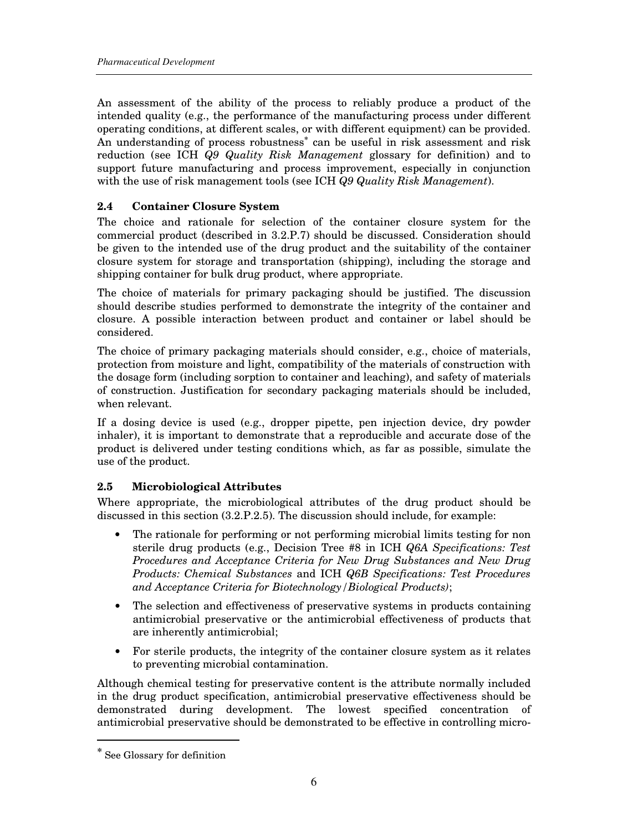An assessment of the ability of the process to reliably produce a product of the intended quality (e.g., the performance of the manufacturing process under different operating conditions, at different scales, or with different equipment) can be provided. An understanding of process robustness**\*** can be useful in risk assessment and risk reduction (see ICH *Q9 Quality Risk Management* glossary for definition) and to support future manufacturing and process improvement, especially in conjunction with the use of risk management tools (see ICH *Q9 Quality Risk Management*).

#### **2.4 Container Closure System**

The choice and rationale for selection of the container closure system for the commercial product (described in 3.2.P.7) should be discussed. Consideration should be given to the intended use of the drug product and the suitability of the container closure system for storage and transportation (shipping), including the storage and shipping container for bulk drug product, where appropriate.

The choice of materials for primary packaging should be justified. The discussion should describe studies performed to demonstrate the integrity of the container and closure. A possible interaction between product and container or label should be considered.

The choice of primary packaging materials should consider, e.g., choice of materials, protection from moisture and light, compatibility of the materials of construction with the dosage form (including sorption to container and leaching), and safety of materials of construction. Justification for secondary packaging materials should be included, when relevant.

If a dosing device is used (e.g., dropper pipette, pen injection device, dry powder inhaler), it is important to demonstrate that a reproducible and accurate dose of the product is delivered under testing conditions which, as far as possible, simulate the use of the product.

#### **2.5 Microbiological Attributes**

Where appropriate, the microbiological attributes of the drug product should be discussed in this section (3.2.P.2.5). The discussion should include, for example:

- The rationale for performing or not performing microbial limits testing for non sterile drug products (e.g., Decision Tree #8 in ICH *Q6A Specifications: Test Procedures and Acceptance Criteria for New Drug Substances and New Drug Products: Chemical Substances* and ICH *Q6B Specifications: Test Procedures and Acceptance Criteria for Biotechnology/Biological Products)*;
- The selection and effectiveness of preservative systems in products containing antimicrobial preservative or the antimicrobial effectiveness of products that are inherently antimicrobial;
- For sterile products, the integrity of the container closure system as it relates to preventing microbial contamination.

Although chemical testing for preservative content is the attribute normally included in the drug product specification, antimicrobial preservative effectiveness should be demonstrated during development. The lowest specified concentration of antimicrobial preservative should be demonstrated to be effective in controlling micro-

 $\overline{a}$ 

**<sup>\*</sup>** See Glossary for definition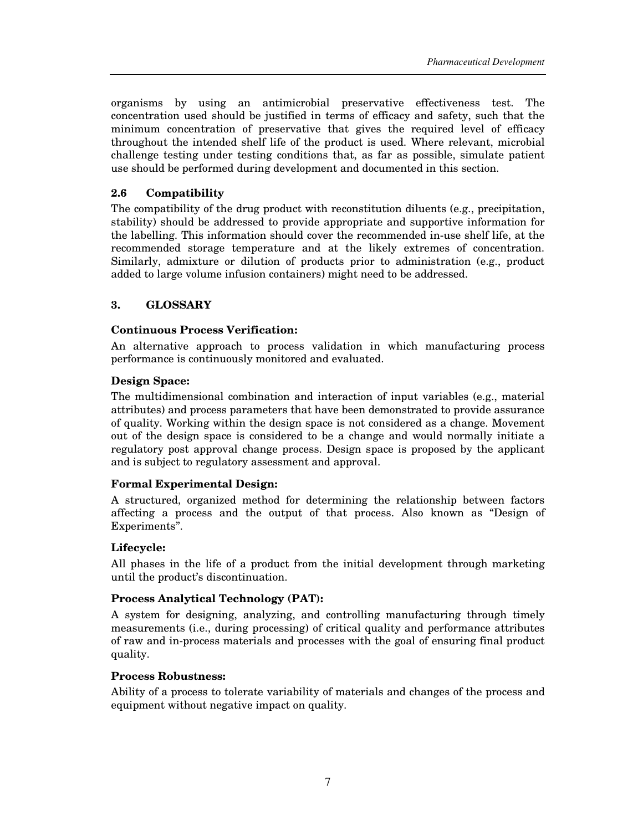organisms by using an antimicrobial preservative effectiveness test. The concentration used should be justified in terms of efficacy and safety, such that the minimum concentration of preservative that gives the required level of efficacy throughout the intended shelf life of the product is used. Where relevant, microbial challenge testing under testing conditions that, as far as possible, simulate patient use should be performed during development and documented in this section.

#### **2.6 Compatibility**

The compatibility of the drug product with reconstitution diluents (e.g., precipitation, stability) should be addressed to provide appropriate and supportive information for the labelling. This information should cover the recommended in-use shelf life, at the recommended storage temperature and at the likely extremes of concentration. Similarly, admixture or dilution of products prior to administration (e.g., product added to large volume infusion containers) might need to be addressed.

#### **3. GLOSSARY**

#### **Continuous Process Verification:**

An alternative approach to process validation in which manufacturing process performance is continuously monitored and evaluated.

#### **Design Space:**

The multidimensional combination and interaction of input variables (e.g., material attributes) and process parameters that have been demonstrated to provide assurance of quality. Working within the design space is not considered as a change. Movement out of the design space is considered to be a change and would normally initiate a regulatory post approval change process. Design space is proposed by the applicant and is subject to regulatory assessment and approval.

#### **Formal Experimental Design:**

A structured, organized method for determining the relationship between factors affecting a process and the output of that process. Also known as "Design of Experiments".

#### **Lifecycle:**

All phases in the life of a product from the initial development through marketing until the product's discontinuation.

#### **Process Analytical Technology (PAT):**

A system for designing, analyzing, and controlling manufacturing through timely measurements (i.e., during processing) of critical quality and performance attributes of raw and in-process materials and processes with the goal of ensuring final product quality.

#### **Process Robustness:**

Ability of a process to tolerate variability of materials and changes of the process and equipment without negative impact on quality.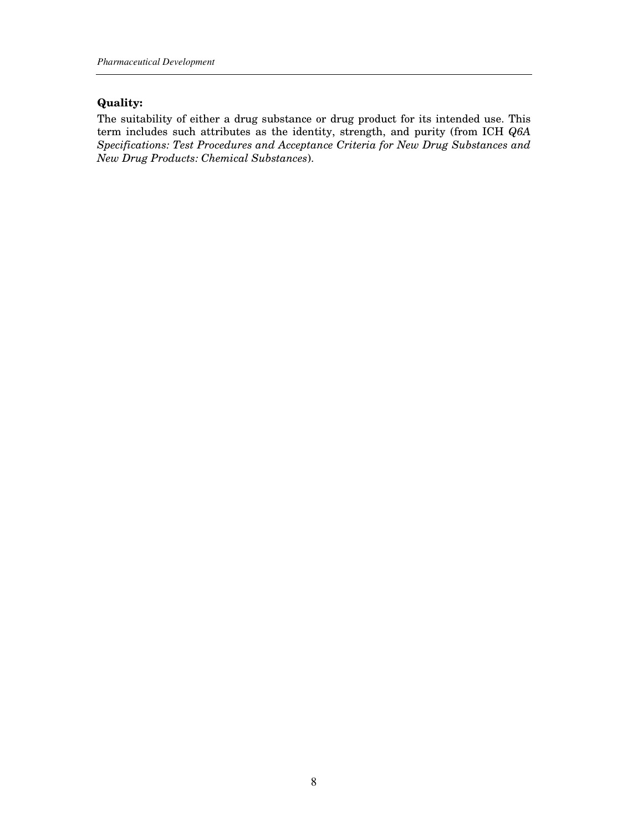#### **Quality:**

The suitability of either a drug substance or drug product for its intended use. This term includes such attributes as the identity, strength, and purity (from ICH *Q6A Specifications: Test Procedures and Acceptance Criteria for New Drug Substances and New Drug Products: Chemical Substances*).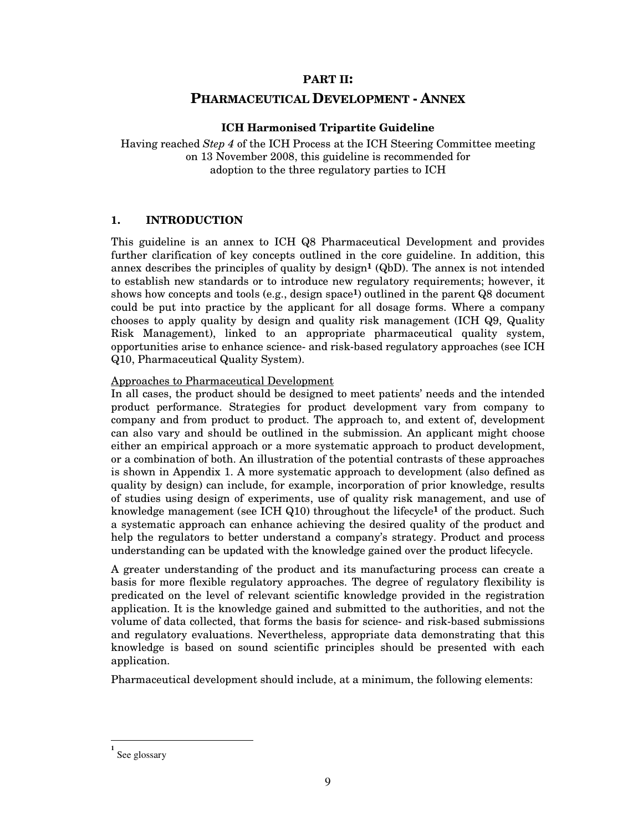#### **PART II:**

#### **PHARMACEUTICAL DEVELOPMENT - ANNEX**

#### **ICH Harmonised Tripartite Guideline**

Having reached *Step 4* of the ICH Process at the ICH Steering Committee meeting on 13 November 2008, this guideline is recommended for adoption to the three regulatory parties to ICH

#### **1. INTRODUCTION**

This guideline is an annex to ICH Q8 Pharmaceutical Development and provides further clarification of key concepts outlined in the core guideline. In addition, this annex describes the principles of quality by design**1** (QbD). The annex is not intended to establish new standards or to introduce new regulatory requirements; however, it shows how concepts and tools (e.g., design space**1**) outlined in the parent Q8 document could be put into practice by the applicant for all dosage forms. Where a company chooses to apply quality by design and quality risk management (ICH Q9, Quality Risk Management), linked to an appropriate pharmaceutical quality system, opportunities arise to enhance science- and risk-based regulatory approaches (see ICH Q10, Pharmaceutical Quality System).

#### Approaches to Pharmaceutical Development

In all cases, the product should be designed to meet patients' needs and the intended product performance. Strategies for product development vary from company to company and from product to product. The approach to, and extent of, development can also vary and should be outlined in the submission. An applicant might choose either an empirical approach or a more systematic approach to product development, or a combination of both. An illustration of the potential contrasts of these approaches is shown in Appendix 1. A more systematic approach to development (also defined as quality by design) can include, for example, incorporation of prior knowledge, results of studies using design of experiments, use of quality risk management, and use of knowledge management (see ICH Q10) throughout the lifecycle**1** of the product. Such a systematic approach can enhance achieving the desired quality of the product and help the regulators to better understand a company's strategy. Product and process understanding can be updated with the knowledge gained over the product lifecycle.

A greater understanding of the product and its manufacturing process can create a basis for more flexible regulatory approaches. The degree of regulatory flexibility is predicated on the level of relevant scientific knowledge provided in the registration application. It is the knowledge gained and submitted to the authorities, and not the volume of data collected, that forms the basis for science- and risk-based submissions and regulatory evaluations. Nevertheless, appropriate data demonstrating that this knowledge is based on sound scientific principles should be presented with each application.

Pharmaceutical development should include, at a minimum, the following elements:

 $\ddot{\phantom{a}}$ 

**<sup>1</sup>** See glossary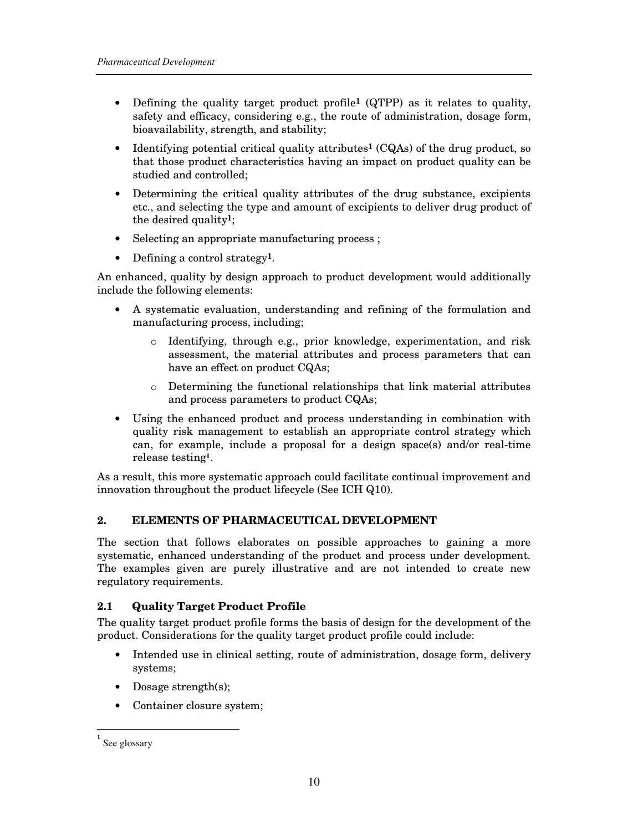- Defining the quality target product profile**1** (QTPP) as it relates to quality, safety and efficacy, considering e.g., the route of administration, dosage form, bioavailability, strength, and stability;
- Identifying potential critical quality attributes**1** (CQAs) of the drug product, so that those product characteristics having an impact on product quality can be studied and controlled;
- Determining the critical quality attributes of the drug substance, excipients etc., and selecting the type and amount of excipients to deliver drug product of the desired quality**1**;
- Selecting an appropriate manufacturing process ;
- Defining a control strategy**1**.

An enhanced, quality by design approach to product development would additionally include the following elements:

- A systematic evaluation, understanding and refining of the formulation and manufacturing process, including;
	- o Identifying, through e.g., prior knowledge, experimentation, and risk assessment, the material attributes and process parameters that can have an effect on product CQAs;
	- o Determining the functional relationships that link material attributes and process parameters to product CQAs;
- Using the enhanced product and process understanding in combination with quality risk management to establish an appropriate control strategy which can, for example, include a proposal for a design space(s) and/or real-time release testing**1**.

As a result, this more systematic approach could facilitate continual improvement and innovation throughout the product lifecycle (See ICH Q10).

#### **2. ELEMENTS OF PHARMACEUTICAL DEVELOPMENT**

The section that follows elaborates on possible approaches to gaining a more systematic, enhanced understanding of the product and process under development. The examples given are purely illustrative and are not intended to create new regulatory requirements.

#### **2.1 Quality Target Product Profile**

The quality target product profile forms the basis of design for the development of the product. Considerations for the quality target product profile could include:

- Intended use in clinical setting, route of administration, dosage form, delivery systems;
- Dosage strength(s);
- Container closure system;

 $\overline{a}$ 

**<sup>1</sup>** See glossary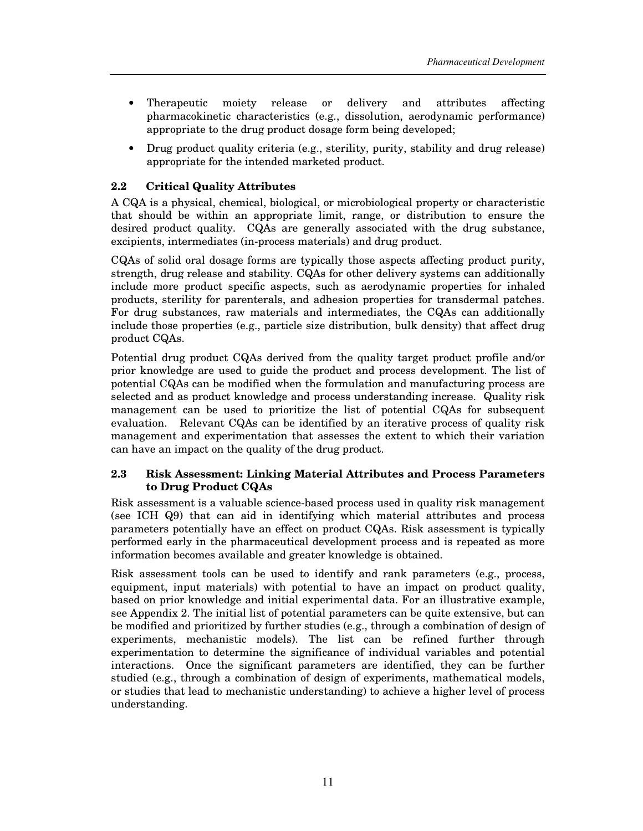- Therapeutic moiety release or delivery and attributes affecting pharmacokinetic characteristics (e.g., dissolution, aerodynamic performance) appropriate to the drug product dosage form being developed;
- Drug product quality criteria (e.g., sterility, purity, stability and drug release) appropriate for the intended marketed product.

#### **2.2 Critical Quality Attributes**

A CQA is a physical, chemical, biological, or microbiological property or characteristic that should be within an appropriate limit, range, or distribution to ensure the desired product quality. CQAs are generally associated with the drug substance, excipients, intermediates (in-process materials) and drug product.

CQAs of solid oral dosage forms are typically those aspects affecting product purity, strength, drug release and stability. CQAs for other delivery systems can additionally include more product specific aspects, such as aerodynamic properties for inhaled products, sterility for parenterals, and adhesion properties for transdermal patches. For drug substances, raw materials and intermediates, the CQAs can additionally include those properties (e.g., particle size distribution, bulk density) that affect drug product CQAs.

Potential drug product CQAs derived from the quality target product profile and/or prior knowledge are used to guide the product and process development. The list of potential CQAs can be modified when the formulation and manufacturing process are selected and as product knowledge and process understanding increase. Quality risk management can be used to prioritize the list of potential CQAs for subsequent evaluation. Relevant CQAs can be identified by an iterative process of quality risk management and experimentation that assesses the extent to which their variation can have an impact on the quality of the drug product.

#### **2.3 Risk Assessment: Linking Material Attributes and Process Parameters to Drug Product CQAs**

Risk assessment is a valuable science-based process used in quality risk management (see ICH Q9) that can aid in identifying which material attributes and process parameters potentially have an effect on product CQAs. Risk assessment is typically performed early in the pharmaceutical development process and is repeated as more information becomes available and greater knowledge is obtained.

Risk assessment tools can be used to identify and rank parameters (e.g., process, equipment, input materials) with potential to have an impact on product quality, based on prior knowledge and initial experimental data. For an illustrative example, see Appendix 2. The initial list of potential parameters can be quite extensive, but can be modified and prioritized by further studies (e.g., through a combination of design of experiments, mechanistic models). The list can be refined further through experimentation to determine the significance of individual variables and potential interactions. Once the significant parameters are identified, they can be further studied (e.g., through a combination of design of experiments, mathematical models, or studies that lead to mechanistic understanding) to achieve a higher level of process understanding.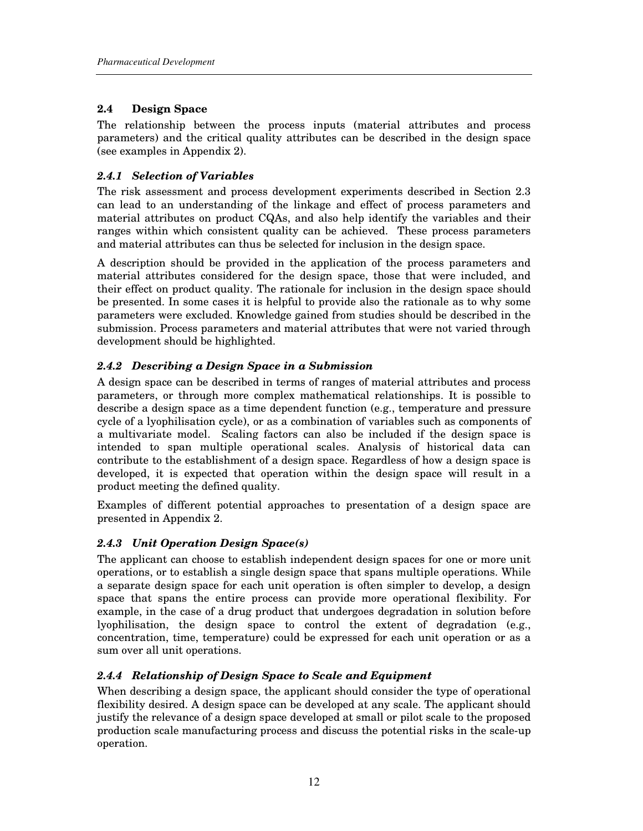#### **2.4 Design Space**

The relationship between the process inputs (material attributes and process parameters) and the critical quality attributes can be described in the design space (see examples in Appendix 2).

#### *2.4.1 Selection of Variables*

The risk assessment and process development experiments described in Section 2.3 can lead to an understanding of the linkage and effect of process parameters and material attributes on product CQAs, and also help identify the variables and their ranges within which consistent quality can be achieved. These process parameters and material attributes can thus be selected for inclusion in the design space.

A description should be provided in the application of the process parameters and material attributes considered for the design space, those that were included, and their effect on product quality. The rationale for inclusion in the design space should be presented. In some cases it is helpful to provide also the rationale as to why some parameters were excluded. Knowledge gained from studies should be described in the submission. Process parameters and material attributes that were not varied through development should be highlighted.

#### *2.4.2 Describing a Design Space in a Submission*

A design space can be described in terms of ranges of material attributes and process parameters, or through more complex mathematical relationships. It is possible to describe a design space as a time dependent function (e.g., temperature and pressure cycle of a lyophilisation cycle), or as a combination of variables such as components of a multivariate model. Scaling factors can also be included if the design space is intended to span multiple operational scales. Analysis of historical data can contribute to the establishment of a design space. Regardless of how a design space is developed, it is expected that operation within the design space will result in a product meeting the defined quality.

Examples of different potential approaches to presentation of a design space are presented in Appendix 2.

#### *2.4.3 Unit Operation Design Space(s)*

The applicant can choose to establish independent design spaces for one or more unit operations, or to establish a single design space that spans multiple operations. While a separate design space for each unit operation is often simpler to develop, a design space that spans the entire process can provide more operational flexibility. For example, in the case of a drug product that undergoes degradation in solution before lyophilisation, the design space to control the extent of degradation (e.g., concentration, time, temperature) could be expressed for each unit operation or as a sum over all unit operations.

#### *2.4.4 Relationship of Design Space to Scale and Equipment*

When describing a design space, the applicant should consider the type of operational flexibility desired. A design space can be developed at any scale. The applicant should justify the relevance of a design space developed at small or pilot scale to the proposed production scale manufacturing process and discuss the potential risks in the scale-up operation.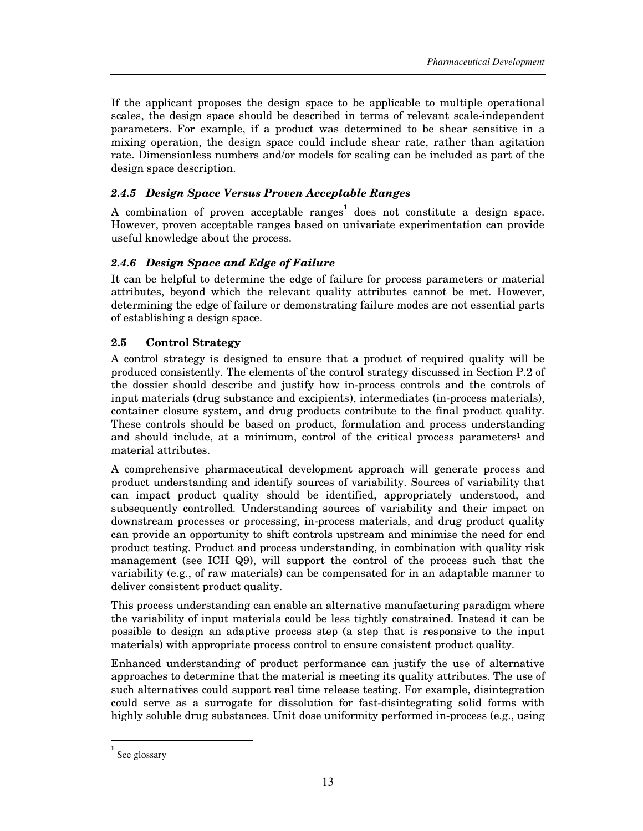If the applicant proposes the design space to be applicable to multiple operational scales, the design space should be described in terms of relevant scale-independent parameters. For example, if a product was determined to be shear sensitive in a mixing operation, the design space could include shear rate, rather than agitation rate. Dimensionless numbers and/or models for scaling can be included as part of the design space description.

#### *2.4.5 Design Space Versus Proven Acceptable Ranges*

A combination of proven acceptable ranges**<sup>1</sup>** does not constitute a design space. However, proven acceptable ranges based on univariate experimentation can provide useful knowledge about the process.

#### *2.4.6 Design Space and Edge of Failure*

It can be helpful to determine the edge of failure for process parameters or material attributes, beyond which the relevant quality attributes cannot be met. However, determining the edge of failure or demonstrating failure modes are not essential parts of establishing a design space.

#### **2.5 Control Strategy**

A control strategy is designed to ensure that a product of required quality will be produced consistently. The elements of the control strategy discussed in Section P.2 of the dossier should describe and justify how in-process controls and the controls of input materials (drug substance and excipients), intermediates (in-process materials), container closure system, and drug products contribute to the final product quality. These controls should be based on product, formulation and process understanding and should include, at a minimum, control of the critical process parameters**<sup>1</sup>** and material attributes.

A comprehensive pharmaceutical development approach will generate process and product understanding and identify sources of variability. Sources of variability that can impact product quality should be identified, appropriately understood, and subsequently controlled. Understanding sources of variability and their impact on downstream processes or processing, in-process materials, and drug product quality can provide an opportunity to shift controls upstream and minimise the need for end product testing. Product and process understanding, in combination with quality risk management (see ICH Q9), will support the control of the process such that the variability (e.g., of raw materials) can be compensated for in an adaptable manner to deliver consistent product quality.

This process understanding can enable an alternative manufacturing paradigm where the variability of input materials could be less tightly constrained. Instead it can be possible to design an adaptive process step (a step that is responsive to the input materials) with appropriate process control to ensure consistent product quality.

Enhanced understanding of product performance can justify the use of alternative approaches to determine that the material is meeting its quality attributes. The use of such alternatives could support real time release testing. For example, disintegration could serve as a surrogate for dissolution for fast-disintegrating solid forms with highly soluble drug substances. Unit dose uniformity performed in-process (e.g., using

 $\ddot{\phantom{a}}$ 

**<sup>1</sup>** See glossary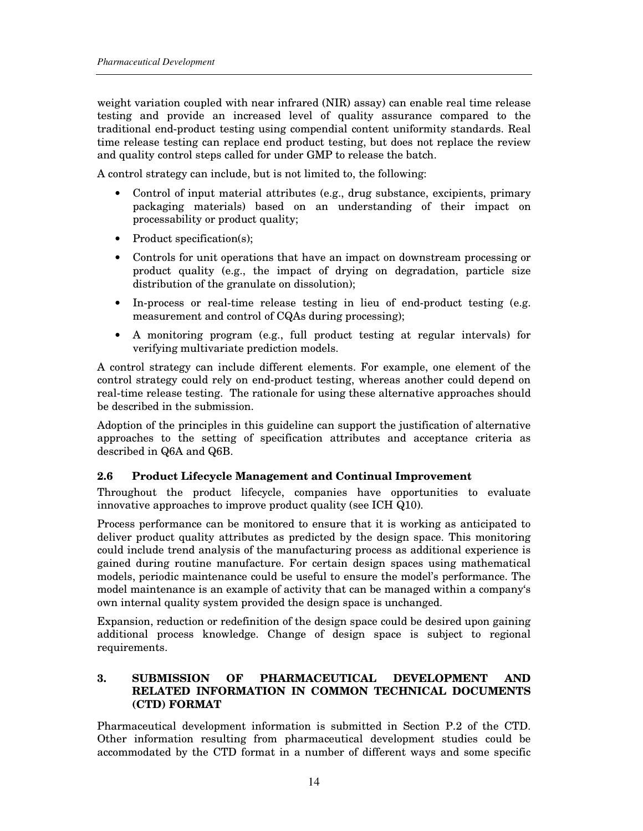weight variation coupled with near infrared (NIR) assay) can enable real time release testing and provide an increased level of quality assurance compared to the traditional end-product testing using compendial content uniformity standards. Real time release testing can replace end product testing, but does not replace the review and quality control steps called for under GMP to release the batch.

A control strategy can include, but is not limited to, the following:

- Control of input material attributes (e.g., drug substance, excipients, primary packaging materials) based on an understanding of their impact on processability or product quality;
- Product specification(s);
- Controls for unit operations that have an impact on downstream processing or product quality (e.g., the impact of drying on degradation, particle size distribution of the granulate on dissolution);
- In-process or real-time release testing in lieu of end-product testing (e.g. measurement and control of CQAs during processing);
- A monitoring program (e.g., full product testing at regular intervals) for verifying multivariate prediction models.

A control strategy can include different elements. For example, one element of the control strategy could rely on end-product testing, whereas another could depend on real-time release testing. The rationale for using these alternative approaches should be described in the submission.

Adoption of the principles in this guideline can support the justification of alternative approaches to the setting of specification attributes and acceptance criteria as described in Q6A and Q6B.

#### **2.6 Product Lifecycle Management and Continual Improvement**

Throughout the product lifecycle, companies have opportunities to evaluate innovative approaches to improve product quality (see ICH Q10).

Process performance can be monitored to ensure that it is working as anticipated to deliver product quality attributes as predicted by the design space. This monitoring could include trend analysis of the manufacturing process as additional experience is gained during routine manufacture. For certain design spaces using mathematical models, periodic maintenance could be useful to ensure the model's performance. The model maintenance is an example of activity that can be managed within a company's own internal quality system provided the design space is unchanged.

Expansion, reduction or redefinition of the design space could be desired upon gaining additional process knowledge. Change of design space is subject to regional requirements.

#### **3. SUBMISSION OF PHARMACEUTICAL DEVELOPMENT AND RELATED INFORMATION IN COMMON TECHNICAL DOCUMENTS (CTD) FORMAT**

Pharmaceutical development information is submitted in Section P.2 of the CTD. Other information resulting from pharmaceutical development studies could be accommodated by the CTD format in a number of different ways and some specific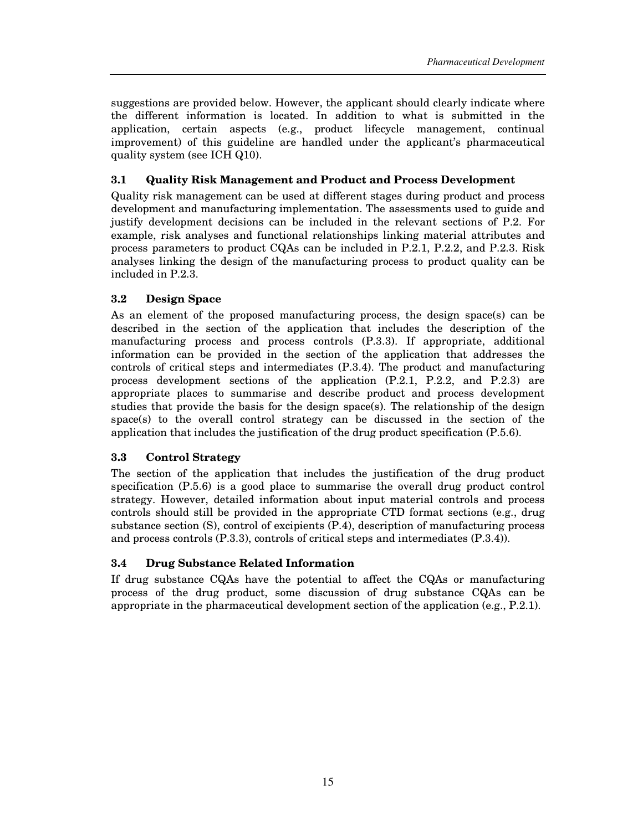suggestions are provided below. However, the applicant should clearly indicate where the different information is located. In addition to what is submitted in the application, certain aspects (e.g., product lifecycle management, continual improvement) of this guideline are handled under the applicant's pharmaceutical quality system (see ICH Q10).

#### **3.1 Quality Risk Management and Product and Process Development**

Quality risk management can be used at different stages during product and process development and manufacturing implementation. The assessments used to guide and justify development decisions can be included in the relevant sections of P.2. For example, risk analyses and functional relationships linking material attributes and process parameters to product CQAs can be included in P.2.1, P.2.2, and P.2.3. Risk analyses linking the design of the manufacturing process to product quality can be included in P.2.3.

#### **3.2 Design Space**

As an element of the proposed manufacturing process, the design space(s) can be described in the section of the application that includes the description of the manufacturing process and process controls (P.3.3). If appropriate, additional information can be provided in the section of the application that addresses the controls of critical steps and intermediates (P.3.4). The product and manufacturing process development sections of the application (P.2.1, P.2.2, and P.2.3) are appropriate places to summarise and describe product and process development studies that provide the basis for the design space(s). The relationship of the design space(s) to the overall control strategy can be discussed in the section of the application that includes the justification of the drug product specification (P.5.6).

#### **3.3 Control Strategy**

The section of the application that includes the justification of the drug product specification (P.5.6) is a good place to summarise the overall drug product control strategy. However, detailed information about input material controls and process controls should still be provided in the appropriate CTD format sections (e.g., drug substance section (S), control of excipients (P.4), description of manufacturing process and process controls (P.3.3), controls of critical steps and intermediates (P.3.4)).

#### **3.4 Drug Substance Related Information**

If drug substance CQAs have the potential to affect the CQAs or manufacturing process of the drug product, some discussion of drug substance CQAs can be appropriate in the pharmaceutical development section of the application (e.g., P.2.1).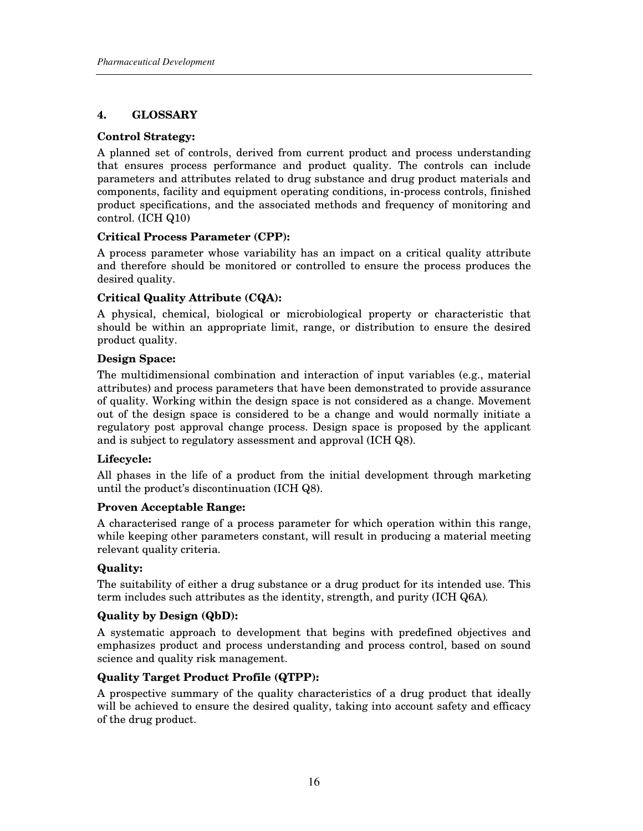#### **4. GLOSSARY**

#### **Control Strategy:**

A planned set of controls, derived from current product and process understanding that ensures process performance and product quality. The controls can include parameters and attributes related to drug substance and drug product materials and components, facility and equipment operating conditions, in-process controls, finished product specifications, and the associated methods and frequency of monitoring and control. (ICH Q10)

#### **Critical Process Parameter (CPP):**

A process parameter whose variability has an impact on a critical quality attribute and therefore should be monitored or controlled to ensure the process produces the desired quality.

#### **Critical Quality Attribute (CQA):**

A physical, chemical, biological or microbiological property or characteristic that should be within an appropriate limit, range, or distribution to ensure the desired product quality.

#### **Design Space:**

The multidimensional combination and interaction of input variables (e.g., material attributes) and process parameters that have been demonstrated to provide assurance of quality. Working within the design space is not considered as a change. Movement out of the design space is considered to be a change and would normally initiate a regulatory post approval change process. Design space is proposed by the applicant and is subject to regulatory assessment and approval (ICH Q8).

#### **Lifecycle:**

All phases in the life of a product from the initial development through marketing until the product's discontinuation (ICH Q8).

#### **Proven Acceptable Range:**

A characterised range of a process parameter for which operation within this range, while keeping other parameters constant, will result in producing a material meeting relevant quality criteria.

#### **Quality:**

The suitability of either a drug substance or a drug product for its intended use. This term includes such attributes as the identity, strength, and purity (ICH Q6A)*.* 

#### **Quality by Design (QbD):**

A systematic approach to development that begins with predefined objectives and emphasizes product and process understanding and process control, based on sound science and quality risk management.

#### **Quality Target Product Profile (QTPP):**

A prospective summary of the quality characteristics of a drug product that ideally will be achieved to ensure the desired quality, taking into account safety and efficacy of the drug product.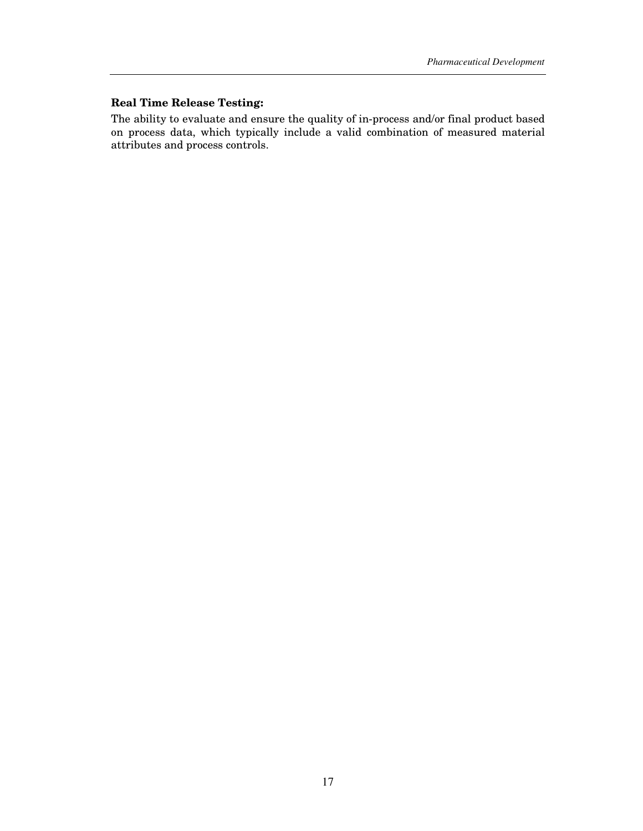#### **Real Time Release Testing:**

The ability to evaluate and ensure the quality of in-process and/or final product based on process data, which typically include a valid combination of measured material attributes and process controls.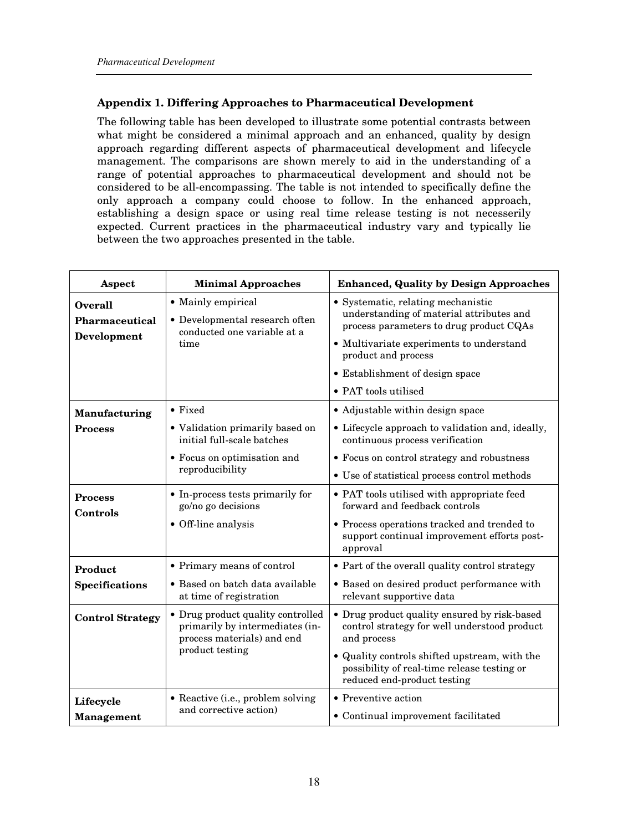#### **Appendix 1. Differing Approaches to Pharmaceutical Development**

The following table has been developed to illustrate some potential contrasts between what might be considered a minimal approach and an enhanced, quality by design approach regarding different aspects of pharmaceutical development and lifecycle management. The comparisons are shown merely to aid in the understanding of a range of potential approaches to pharmaceutical development and should not be considered to be all-encompassing. The table is not intended to specifically define the only approach a company could choose to follow. In the enhanced approach, establishing a design space or using real time release testing is not necesserily expected. Current practices in the pharmaceutical industry vary and typically lie between the two approaches presented in the table.

| Aspect                                          | <b>Minimal Approaches</b>                                                                          | <b>Enhanced, Quality by Design Approaches</b>                                                                                                                                                |  |
|-------------------------------------------------|----------------------------------------------------------------------------------------------------|----------------------------------------------------------------------------------------------------------------------------------------------------------------------------------------------|--|
| <b>Overall</b><br>Pharmaceutical<br>Development | • Mainly empirical<br>• Developmental research often<br>conducted one variable at a<br>time        | • Systematic, relating mechanistic<br>understanding of material attributes and<br>process parameters to drug product CQAs<br>• Multivariate experiments to understand<br>product and process |  |
|                                                 |                                                                                                    | • Establishment of design space                                                                                                                                                              |  |
|                                                 |                                                                                                    | • PAT tools utilised                                                                                                                                                                         |  |
| Manufacturing                                   | $\bullet$ Fixed                                                                                    | • Adjustable within design space                                                                                                                                                             |  |
| <b>Process</b>                                  | • Validation primarily based on<br>initial full-scale batches                                      | • Lifecycle approach to validation and, ideally,<br>continuous process verification                                                                                                          |  |
|                                                 | • Focus on optimisation and                                                                        | • Focus on control strategy and robustness                                                                                                                                                   |  |
|                                                 | reproducibility                                                                                    | • Use of statistical process control methods                                                                                                                                                 |  |
| <b>Process</b><br>Controls                      | • In-process tests primarily for<br>go/no go decisions                                             | • PAT tools utilised with appropriate feed<br>forward and feedback controls                                                                                                                  |  |
|                                                 | • Off-line analysis                                                                                | • Process operations tracked and trended to<br>support continual improvement efforts post-<br>approval                                                                                       |  |
| Product                                         | • Primary means of control                                                                         | • Part of the overall quality control strategy                                                                                                                                               |  |
| Specifications                                  | • Based on batch data available<br>at time of registration                                         | • Based on desired product performance with<br>relevant supportive data                                                                                                                      |  |
| <b>Control Strategy</b>                         | • Drug product quality controlled<br>primarily by intermediates (in-<br>process materials) and end | • Drug product quality ensured by risk-based<br>control strategy for well understood product<br>and process                                                                                  |  |
|                                                 | product testing                                                                                    | • Quality controls shifted upstream, with the<br>possibility of real-time release testing or<br>reduced end-product testing                                                                  |  |
| Lifecycle                                       | • Reactive (i.e., problem solving                                                                  | • Preventive action                                                                                                                                                                          |  |
| <b>Management</b>                               | and corrective action)                                                                             | • Continual improvement facilitated                                                                                                                                                          |  |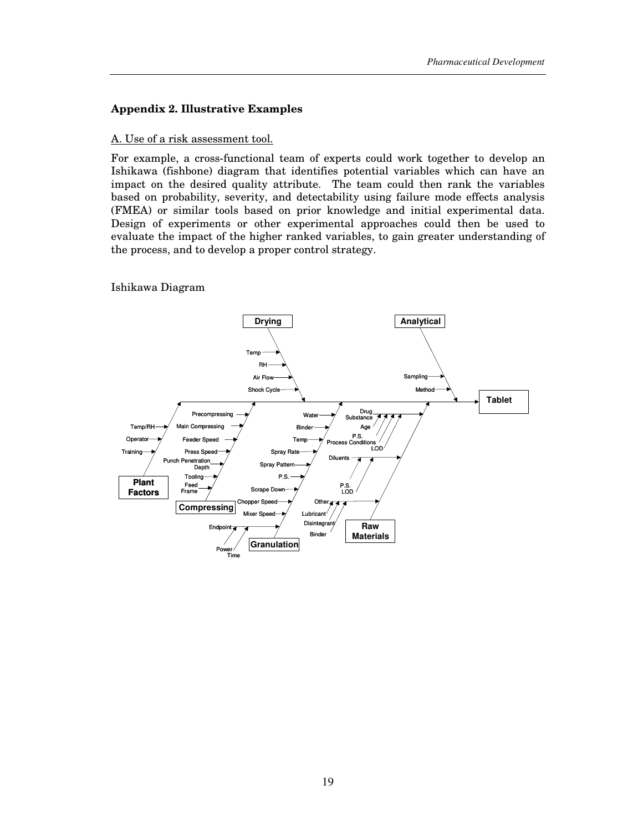#### **Appendix 2. Illustrative Examples**

#### A. Use of a risk assessment tool.

For example, a cross-functional team of experts could work together to develop an Ishikawa (fishbone) diagram that identifies potential variables which can have an impact on the desired quality attribute. The team could then rank the variables based on probability, severity, and detectability using failure mode effects analysis (FMEA) or similar tools based on prior knowledge and initial experimental data. Design of experiments or other experimental approaches could then be used to evaluate the impact of the higher ranked variables, to gain greater understanding of the process, and to develop a proper control strategy.

#### Ishikawa Diagram

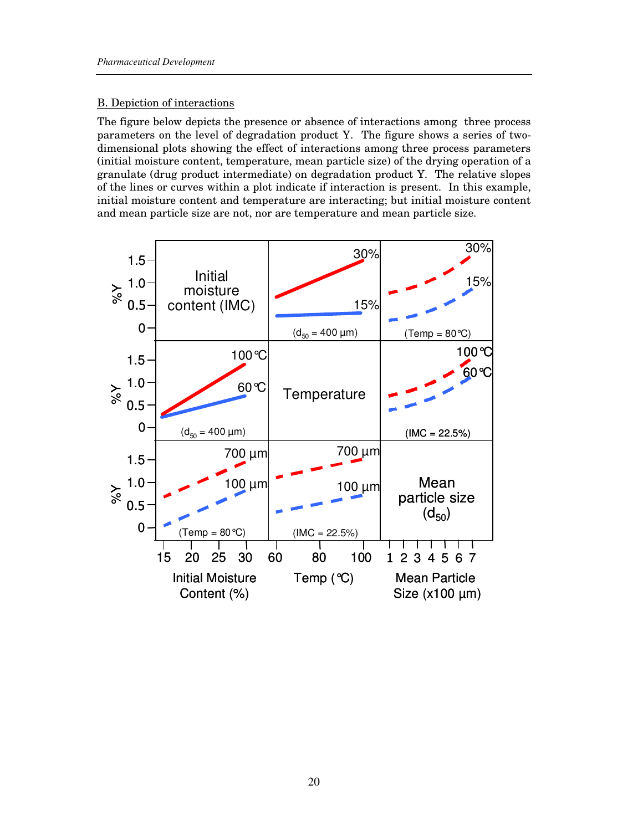#### B. Depiction of interactions

The figure below depicts the presence or absence of interactions among three process parameters on the level of degradation product Y. The figure shows a series of twodimensional plots showing the effect of interactions among three process parameters (initial moisture content, temperature, mean particle size) of the drying operation of a granulate (drug product intermediate) on degradation product Y. The relative slopes of the lines or curves within a plot indicate if interaction is present. In this example, initial moisture content and temperature are interacting; but initial moisture content and mean particle size are not, nor are temperature and mean particle size.

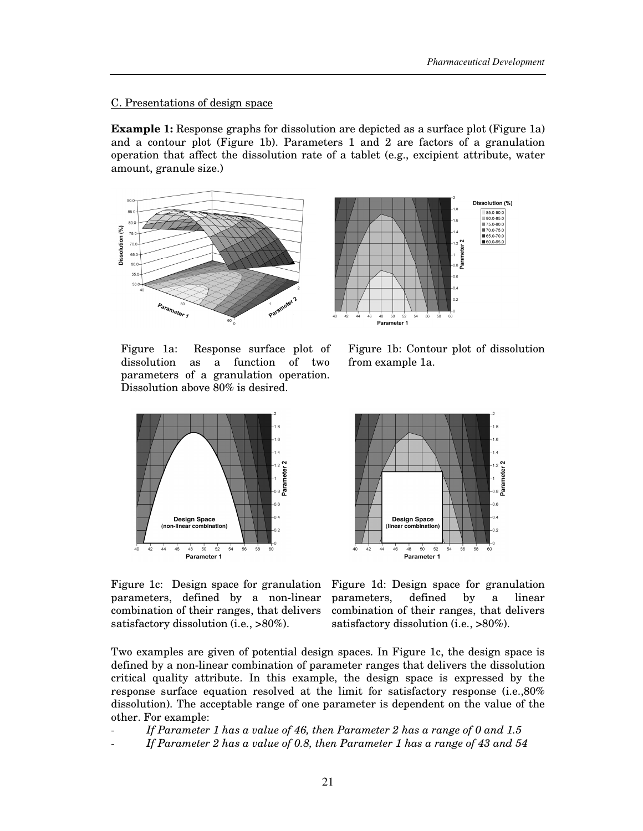#### C. Presentations of design space

**Example 1:** Response graphs for dissolution are depicted as a surface plot (Figure 1a) and a contour plot (Figure 1b). Parameters 1 and 2 are factors of a granulation operation that affect the dissolution rate of a tablet (e.g., excipient attribute, water amount, granule size.)





Figure 1a: Response surface plot of dissolution as a function of two parameters of a granulation operation. Dissolution above 80% is desired.



Figure 1b: Contour plot of dissolution from example 1a.



Figure 1c: Design space for granulation parameters, defined by a non-linear combination of their ranges, that delivers satisfactory dissolution (i.e., >80%).

Figure 1d: Design space for granulation parameters, defined by a linear combination of their ranges, that delivers satisfactory dissolution (i.e., >80%).

Two examples are given of potential design spaces. In Figure 1c, the design space is defined by a non-linear combination of parameter ranges that delivers the dissolution critical quality attribute. In this example, the design space is expressed by the response surface equation resolved at the limit for satisfactory response (i.e.,80% dissolution). The acceptable range of one parameter is dependent on the value of the other. For example:

- *If Parameter 1 has a value of 46, then Parameter 2 has a range of 0 and 1.5* 

- *If Parameter 2 has a value of 0.8, then Parameter 1 has a range of 43 and 54*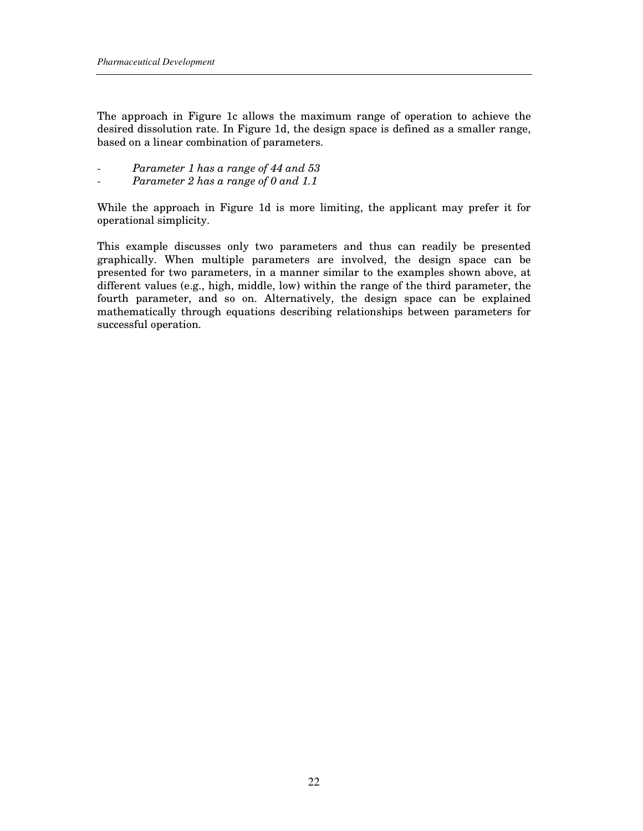The approach in Figure 1c allows the maximum range of operation to achieve the desired dissolution rate. In Figure 1d, the design space is defined as a smaller range, based on a linear combination of parameters.

- *Parameter 1 has a range of 44 and 53*  - *Parameter 2 has a range of 0 and 1.1*
- 

While the approach in Figure 1d is more limiting, the applicant may prefer it for operational simplicity.

This example discusses only two parameters and thus can readily be presented graphically. When multiple parameters are involved, the design space can be presented for two parameters, in a manner similar to the examples shown above, at different values (e.g., high, middle, low) within the range of the third parameter, the fourth parameter, and so on. Alternatively, the design space can be explained mathematically through equations describing relationships between parameters for successful operation.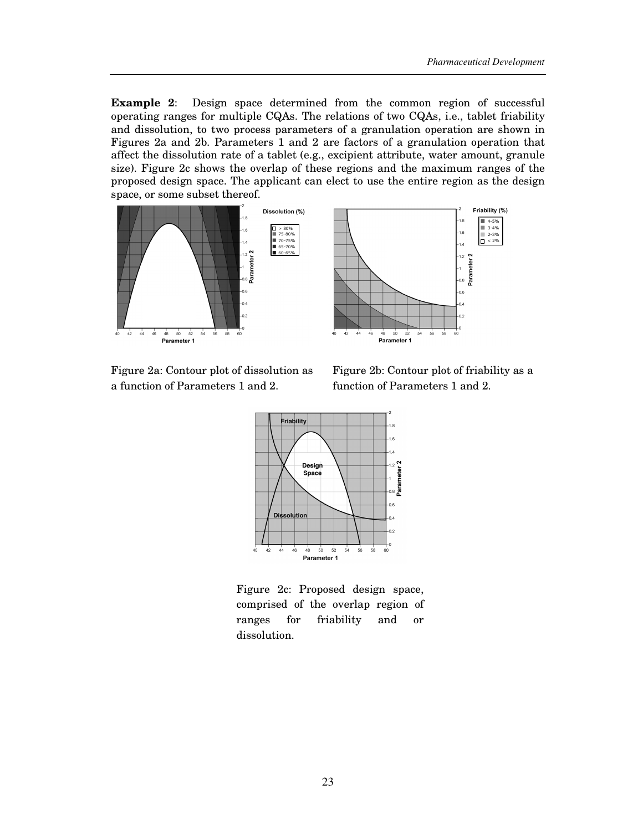**Example 2**: Design space determined from the common region of successful operating ranges for multiple CQAs. The relations of two CQAs, i.e., tablet friability and dissolution, to two process parameters of a granulation operation are shown in Figures 2a and 2b. Parameters 1 and 2 are factors of a granulation operation that affect the dissolution rate of a tablet (e.g., excipient attribute, water amount, granule size). Figure 2c shows the overlap of these regions and the maximum ranges of the proposed design space. The applicant can elect to use the entire region as the design space, or some subset thereof.





Figure 2a: Contour plot of dissolution as a function of Parameters 1 and 2.

Figure 2b: Contour plot of friability as a function of Parameters 1 and 2.



Figure 2c: Proposed design space, comprised of the overlap region of ranges for friability and or dissolution.